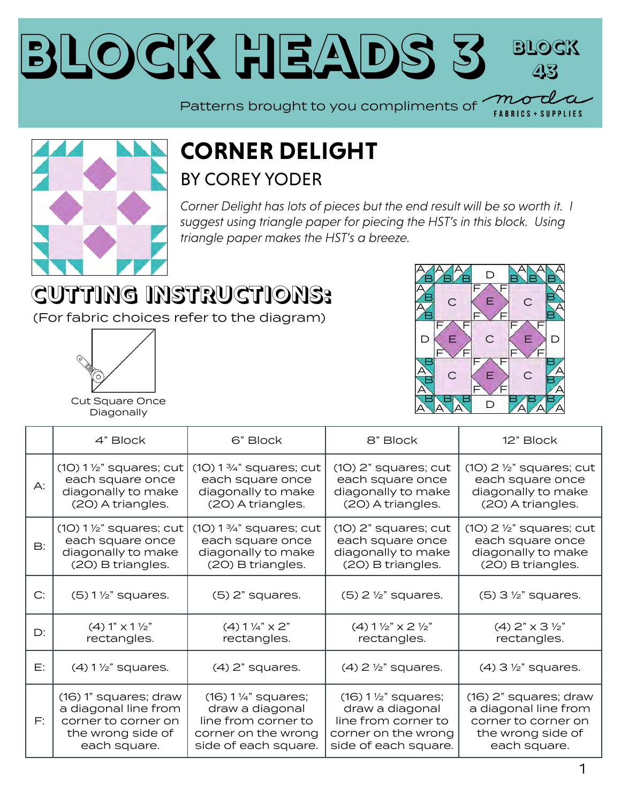#### **Block Heads [3](https://modafabrics.com) Block 43**  $\tau$ Patterns brought to you compliments of



### **CORNER DELIGHT** BY [COREY YODER](https://modafabrics.com/designers/corey-yoder)

*Corner Delight has lots of pieces but the end result will be so worth it. I suggest using triangle paper for piecing the HST's in this block. Using triangle paper makes the HST's a breeze.*

# **CUTTING INSTRUCTIONS:**

(For fabric choices refer to the diagram)



Cut Square Once Diagonally



**FABRICS + SUPPLIES** 

|           | 4" Block                              | 6" Block                              | 8" Block                                   | 12" Block                             |
|-----------|---------------------------------------|---------------------------------------|--------------------------------------------|---------------------------------------|
| A:        | $(10)$ 1 $\frac{1}{2}$ " squares; cut | $(10)$ 1 $\frac{3}{4}$ " squares; cut | (10) 2" squares; cut                       | $(10)$ 2 $\frac{1}{2}$ " squares; cut |
|           | each square once                      | each square once                      | each square once                           | each square once                      |
|           | diagonally to make                    | diagonally to make                    | diagonally to make                         | diagonally to make                    |
|           | (20) A triangles.                     | (20) A triangles.                     | (20) A triangles.                          | (20) A triangles.                     |
| <b>B:</b> | $(10)$ 1 $\frac{1}{2}$ " squares; cut | $(10)$ 1 $\frac{3}{4}$ " squares; cut | (10) 2" squares; cut                       | $(10)$ 2 $\frac{1}{2}$ " squares; cut |
|           | each square once                      | each square once                      | each square once                           | each square once                      |
|           | diagonally to make                    | diagonally to make                    | diagonally to make                         | diagonally to make                    |
|           | (20) B triangles.                     | (20) B triangles.                     | (20) B triangles.                          | (20) B triangles.                     |
| C:        | $(5)$ 1 $\frac{1}{2}$ " squares.      | $(5)$ 2" squares.                     | $(5)$ 2 $\frac{1}{2}$ " squares.           | $(5)$ 3 $\frac{1}{2}$ " squares.      |
| D:        | (4) 1" x 1 <sup>1</sup> /2"           | $(4) 1\frac{1}{4}$ x 2"               | $(4) 1 \frac{1}{2} x \times 2 \frac{1}{2}$ | $(4)$ 2" $\times$ 3 $\frac{1}{2}$ "   |
|           | rectangles.                           | rectangles.                           | rectangles.                                | rectangles.                           |
| E:        | $(4)$ 1 $\frac{1}{2}$ " squares.      | $(4)$ 2" squares.                     | $(4)$ 2 $\frac{1}{2}$ " squares.           | $(4)$ 3 $\frac{1}{2}$ " squares.      |
| F:        | (16) 1" squares; draw                 | $(16) 1\frac{1}{4}$ " squares;        | $(16) 1 \frac{1}{2}$ squares;              | (16) 2" squares; draw                 |
|           | a diagonal line from                  | draw a diagonal                       | draw a diagonal                            | a diagonal line from                  |
|           | corner to corner on                   | line from corner to                   | line from corner to                        | corner to corner on                   |
|           | the wrong side of                     | corner on the wrong                   | corner on the wrong                        | the wrong side of                     |
|           | each square.                          | side of each square.                  | side of each square.                       | each square.                          |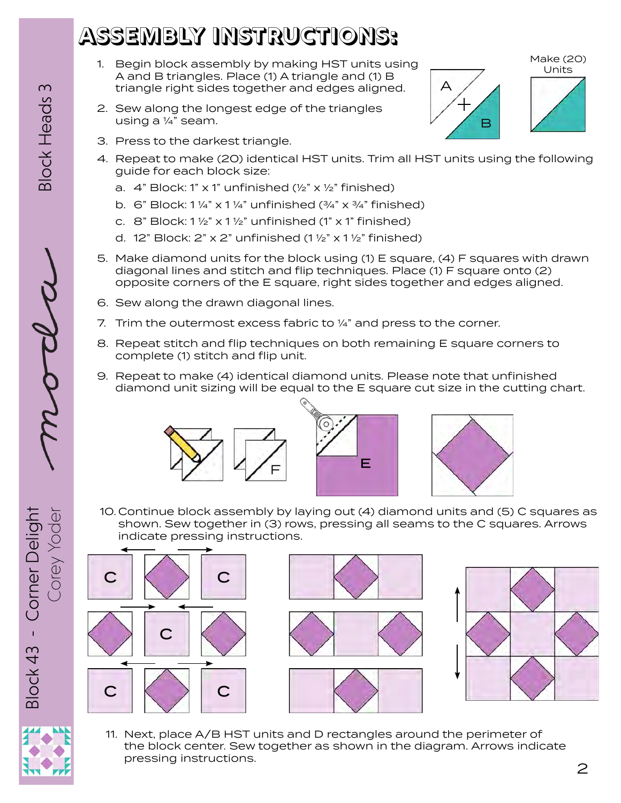## **ASSEMBLY INSTRUCTIONS:**

- 1. Begin block assembly by making HST units using A and B triangles. Place (1) A triangle and (1) B triangle right sides together and edges aligned.
- 2. Sew along the longest edge of the triangles using a ¼" seam.
- 3. Press to the darkest triangle.
- 4. Repeat to make (20) identical HST units. Trim all HST units using the following guide for each block size:
	- a.  $4$ " Block: 1" x 1" unfinished ( $\frac{1}{2}$ " x  $\frac{1}{2}$ " finished)
	- b. 6" Block:  $1\frac{1}{4}$ " x  $1\frac{1}{4}$ " unfinished  $\left(\frac{3}{4}$ " x  $\frac{3}{4}$ " finished)
	- c. 8" Block:  $1\frac{1}{2}$ " x  $1\frac{1}{2}$ " unfinished (1" x 1" finished)
	- d. 12" Block: 2" x 2" unfinished  $(1 \frac{1}{2}$ " x 1 $\frac{1}{2}$ " finished)
- 5. Make diamond units for the block using (1) E square, (4) F squares with drawn diagonal lines and stitch and flip techniques. Place (1) F square onto (2) opposite corners of the E square, right sides together and edges aligned.
- 6. Sew along the drawn diagonal lines.
- 7. Trim the outermost excess fabric to  $\frac{1}{4}$ " and press to the corner.
- 8. Repeat stitch and flip techniques on both remaining E square corners to complete (1) stitch and flip unit.
- 9. Repeat to make (4) identical diamond units. Please note that unfinished diamond unit sizing will be equal to the E square cut size in the cutting chart.







10. Continue block assembly by laying out (4) diamond units and (5) C squares as shown. Sew together in (3) rows, pressing all seams to the C squares. Arrows indicate pressing instructions.





2

11. Next, place A/B HST units and D rectangles around the perimeter of the block center. Sew together as shown in the diagram. Arrows indicate pressing instructions.



Block 43 - Corner Delight

Corey Yoder

Block 43 - Corner Delight